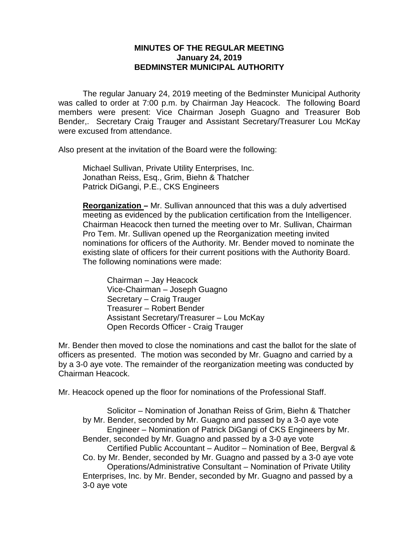## **MINUTES OF THE REGULAR MEETING January 24, 2019 BEDMINSTER MUNICIPAL AUTHORITY**

The regular January 24, 2019 meeting of the Bedminster Municipal Authority was called to order at 7:00 p.m. by Chairman Jay Heacock. The following Board members were present: Vice Chairman Joseph Guagno and Treasurer Bob Bender,. Secretary Craig Trauger and Assistant Secretary/Treasurer Lou McKay were excused from attendance.

Also present at the invitation of the Board were the following:

Michael Sullivan, Private Utility Enterprises, Inc. Jonathan Reiss, Esq., Grim, Biehn & Thatcher Patrick DiGangi, P.E., CKS Engineers

**Reorganization –** Mr. Sullivan announced that this was a duly advertised meeting as evidenced by the publication certification from the Intelligencer. Chairman Heacock then turned the meeting over to Mr. Sullivan, Chairman Pro Tem. Mr. Sullivan opened up the Reorganization meeting invited nominations for officers of the Authority. Mr. Bender moved to nominate the existing slate of officers for their current positions with the Authority Board. The following nominations were made:

Chairman – Jay Heacock Vice-Chairman – Joseph Guagno Secretary – Craig Trauger Treasurer – Robert Bender Assistant Secretary/Treasurer – Lou McKay Open Records Officer - Craig Trauger

Mr. Bender then moved to close the nominations and cast the ballot for the slate of officers as presented. The motion was seconded by Mr. Guagno and carried by a by a 3-0 aye vote. The remainder of the reorganization meeting was conducted by Chairman Heacock.

Mr. Heacock opened up the floor for nominations of the Professional Staff.

Solicitor – Nomination of Jonathan Reiss of Grim, Biehn & Thatcher by Mr. Bender, seconded by Mr. Guagno and passed by a 3-0 aye vote Engineer – Nomination of Patrick DiGangi of CKS Engineers by Mr. Bender, seconded by Mr. Guagno and passed by a 3-0 aye vote Certified Public Accountant – Auditor – Nomination of Bee, Bergval & Co. by Mr. Bender, seconded by Mr. Guagno and passed by a 3-0 aye vote Operations/Administrative Consultant – Nomination of Private Utility Enterprises, Inc. by Mr. Bender, seconded by Mr. Guagno and passed by a 3-0 aye vote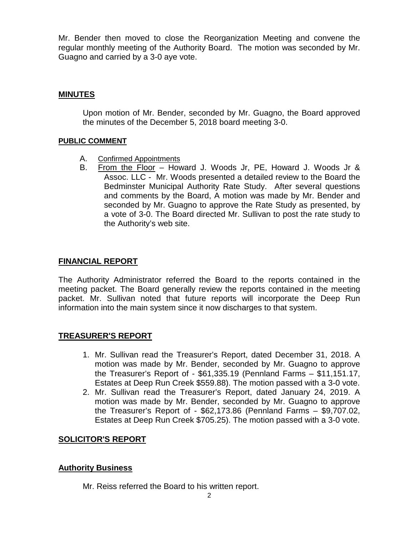Mr. Bender then moved to close the Reorganization Meeting and convene the regular monthly meeting of the Authority Board. The motion was seconded by Mr. Guagno and carried by a 3-0 aye vote.

# **MINUTES**

Upon motion of Mr. Bender, seconded by Mr. Guagno, the Board approved the minutes of the December 5, 2018 board meeting 3-0.

#### **PUBLIC COMMENT**

- A. Confirmed Appointments<br>B. From the Floor Hov
- B. From the Floor Howard J. Woods Jr, PE, Howard J. Woods Jr & Assoc. LLC - Mr. Woods presented a detailed review to the Board the Bedminster Municipal Authority Rate Study. After several questions and comments by the Board, A motion was made by Mr. Bender and seconded by Mr. Guagno to approve the Rate Study as presented, by a vote of 3-0. The Board directed Mr. Sullivan to post the rate study to the Authority's web site.

## **FINANCIAL REPORT**

The Authority Administrator referred the Board to the reports contained in the meeting packet. The Board generally review the reports contained in the meeting packet. Mr. Sullivan noted that future reports will incorporate the Deep Run information into the main system since it now discharges to that system.

## **TREASURER'S REPORT**

- 1. Mr. Sullivan read the Treasurer's Report, dated December 31, 2018. A motion was made by Mr. Bender, seconded by Mr. Guagno to approve the Treasurer's Report of - \$61,335.19 (Pennland Farms – \$11,151.17, Estates at Deep Run Creek \$559.88). The motion passed with a 3-0 vote.
- 2. Mr. Sullivan read the Treasurer's Report, dated January 24, 2019. A motion was made by Mr. Bender, seconded by Mr. Guagno to approve the Treasurer's Report of - \$62,173.86 (Pennland Farms – \$9,707.02, Estates at Deep Run Creek \$705.25). The motion passed with a 3-0 vote.

## **SOLICITOR'S REPORT**

## **Authority Business**

Mr. Reiss referred the Board to his written report.